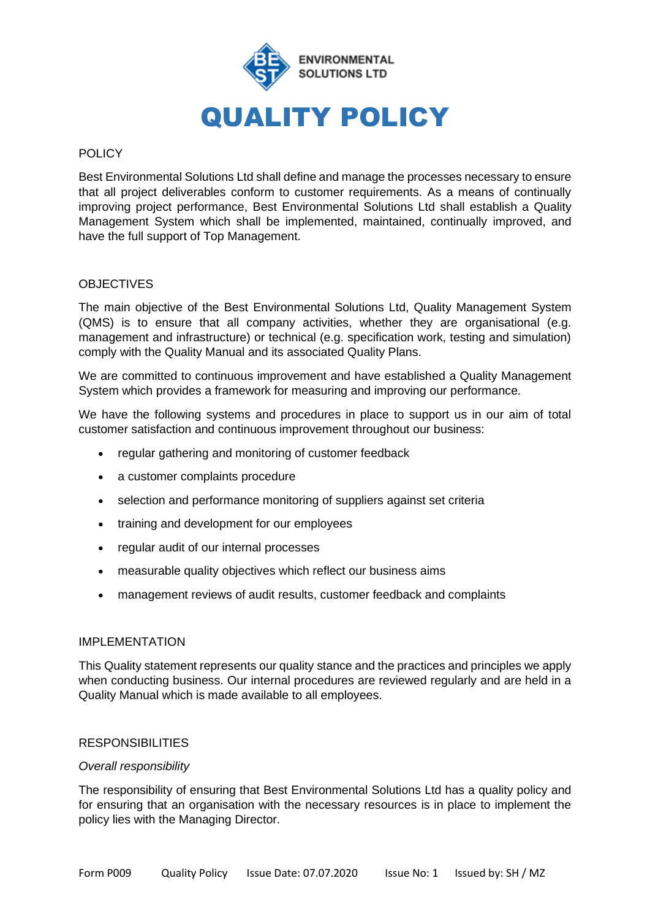

## POLICY

Best Environmental Solutions Ltd shall define and manage the processes necessary to ensure that all project deliverables conform to customer requirements. As a means of continually improving project performance, Best Environmental Solutions Ltd shall establish a Quality Management System which shall be implemented, maintained, continually improved, and have the full support of Top Management.

## OBJECTIVES

The main objective of the Best Environmental Solutions Ltd, Quality Management System (QMS) is to ensure that all company activities, whether they are organisational (e.g. management and infrastructure) or technical (e.g. specification work, testing and simulation) comply with the Quality Manual and its associated Quality Plans.

We are committed to continuous improvement and have established a Quality Management System which provides a framework for measuring and improving our performance.

We have the following systems and procedures in place to support us in our aim of total customer satisfaction and continuous improvement throughout our business:

- regular gathering and monitoring of customer feedback
- a customer complaints procedure
- selection and performance monitoring of suppliers against set criteria
- training and development for our employees
- regular audit of our internal processes
- measurable quality objectives which reflect our business aims
- management reviews of audit results, customer feedback and complaints

## IMPLEMENTATION

This Quality statement represents our quality stance and the practices and principles we apply when conducting business. Our internal procedures are reviewed regularly and are held in a Quality Manual which is made available to all employees.

#### **RESPONSIBILITIES**

#### *Overall responsibility*

The responsibility of ensuring that Best Environmental Solutions Ltd has a quality policy and for ensuring that an organisation with the necessary resources is in place to implement the policy lies with the Managing Director.